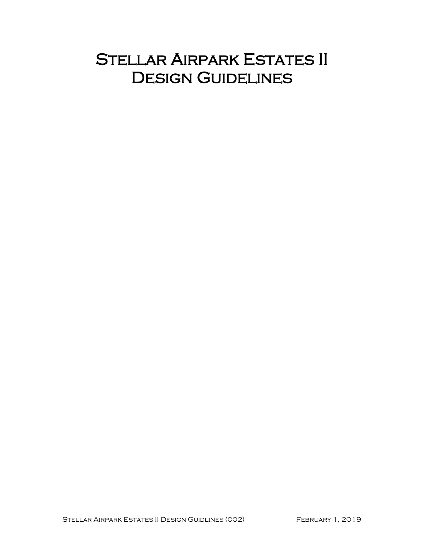# STELLAR AIRPARK ESTATES II DESIGN GUIDELINES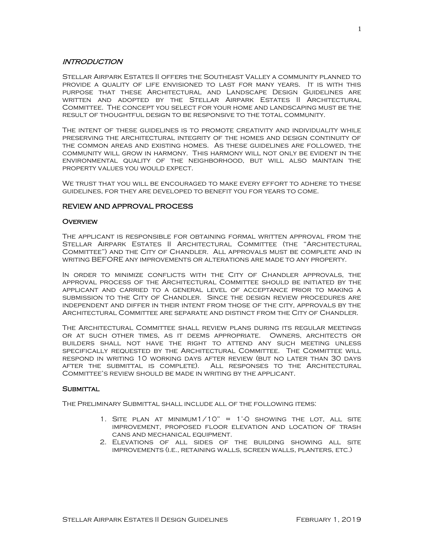## INTRODUCTION

Stellar Airpark Estates II offers the Southeast Valley a community planned to provide a quality of life envisioned to last for many years. It is with this purpose that these Architectural and Landscape Design Guidelines are written and adopted by the Stellar Airpark Estates II Architectural Committee. The concept you select for your home and landscaping must be the result of thoughtful design to be responsive to the total community.

The intent of these guidelines is to promote creativity and individuality while preserving the architectural integrity of the homes and design continuity of the common areas and existing homes. As these guidelines are followed, the community will grow in harmony. This harmony will not only be evident in the environmental quality of the neighborhood, but will also maintain the property values you would expect.

WE TRUST THAT YOU WILL BE ENCOURAGED TO MAKE EVERY EFFORT TO ADHERE TO THESE guidelines, for they are developed to benefit you for years to come.

# REVIEW AND APPROVAL PROCESS

## **OVERVIEW**

The applicant is responsible for obtaining formal written approval from the Stellar Airpark Estates II Architectural Committee (the "Architectural Committee") and the City of Chandler. All approvals must be complete and in writing BEFORE any improvements or alterations are made to any property.

In order to minimize conflicts with the City of Chandler approvals, the approval process of the Architectural Committee should be initiated by the applicant and carried to a general level of acceptance prior to making a submission to the City of Chandler. Since the design review procedures are independent and differ in their intent from those of the city, approvals by the Architectural Committee are separate and distinct from the City of Chandler.

The Architectural Committee shall review plans during its regular meetings or at such other times, as it deems appropriate. Owners, architects or builders shall not have the right to attend any such meeting unless specifically requested by the Architectural Committee. The Committee will respond in writing 10 working days after review (but no later than 30 days after the submittal is complete). All responses to the Architectural Committee's review should be made in writing by the applicant.

## **SUBMITTAL**

The Preliminary Submittal shall include all of the following items:

- 1. SITE PLAN AT MINIMUM $1/10" = 1' \cdot 0$  showing the lot, all site improvement, proposed floor elevation and location of trash cans and mechanical equipment.
- 2. Elevations of all sides of the building showing all site improvements (i.e., retaining walls, screen walls, planters, etc.)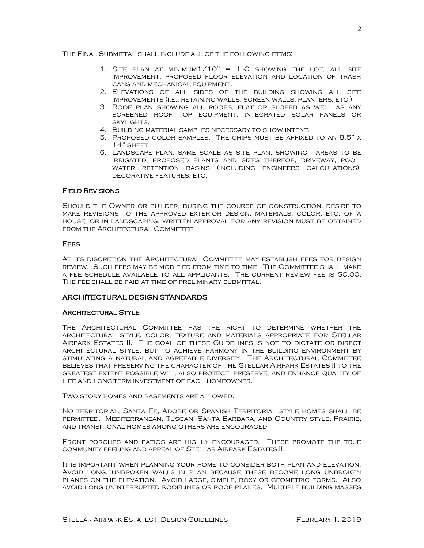The Final Submittal shall include all of the following items:

- 1. SITE PLAN AT MINIMUM $1/10$ " = 1'-0 showing the lot, all site improvement, proposed floor elevation and location of trash cans and mechanical equipment.
- 2. Elevations of all sides of the building showing all site improvements (i.e., retaining walls, screen walls, planters, etc.)
- 3. Roof plan showing all roofs, flat or sloped as well as any screened roof top equipment, integrated solar panels or skylights.
- 4. Building material samples necessary to show intent.
- 5. Proposed color samples. The chips must be affixed to an 8.5" x 14" sheet.
- 6. Landscape plan, same scale as site plan, showing: areas to be irrigated, proposed plants and sizes thereof, driveway, pool, water retention basins (including engineers calculations), decorative features, etc.

# Field Revisions

Should the Owner or builder, during the course of construction, desire to make revisions to the approved exterior design, materials, color, etc. of a house, or in landscaping, written approval for any revision must be obtained from the Architectural Committee.

## **FEES**

At its discretion the Architectural Committee may establish fees for design review. Such fees may be modified from time to time. The Committee shall make a fee schedule available to all applicants. The current review fee is \$0.00. The fee shall be paid at time of preliminary submittal.

# ARCHITECTURAL DESIGN STANDARDS

## Architectural Style

The Architectural Committee has the right to determine whether the architectural style, color, texture and materials appropriate for Stellar Airpark Estates II. The goal of these Guidelines is not to dictate or direct architectural style, but to achieve harmony in the building environment by stimulating a natural and agreeable diversity. The Architectural Committee believes that preserving the character of the Stellar Airpark Estates II to the greatest extent possible will also protect, preserve, and enhance quality of life and long-term investment of each homeowner.

Two story homes and basements are allowed.

No territorial, Santa Fe, Adobe or Spanish Territorial style homes shall be permitted. Mediterranean, Tuscan, Santa Barbara, and Country style, Prairie, and transitional homes among others are encouraged.

Front porches and patios are highly encouraged. These promote the true community feeling and appeal of Stellar Airpark Estates II.

It is important when planning your home to consider both plan and elevation. Avoid long, unbroken walls in plan because these become long unbroken planes on the elevation. Avoid large, simple, boxy or geometric forms. Also avoid long uninterrupted rooflines or roof planes. Multiple building masses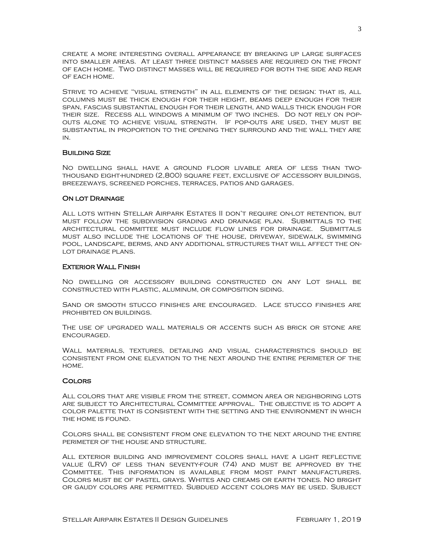create a more interesting overall appearance by breaking up large surfaces into smaller areas. At least three distinct masses are required on the front of each home. Two distinct masses will be required for both the side and rear of each home.

Strive to achieve "visual strength" in all elements of the design: that is, all columns must be thick enough for their height, beams deep enough for their span, fascias substantial enough for their length, and walls thick enough for their size. Recess all windows a minimum of two inches. Do not rely on popouts alone to achieve visual strength. If pop-outs are used, they must be substantial in proportion to the opening they surround and the wall they are in.

## Building Size

No dwelling shall have a ground floor livable area of less than twothousand eight-hundred (2,800) square feet, exclusive of accessory buildings, breezeways, screened porches, terraces, patios and garages.

#### ON LOT DRAINAGE

All lots within Stellar Airpark Estates II don't require on-lot retention, but must follow the subdivision grading and drainage plan. Submittals to the architectural committee must include flow lines for drainage. Submittals must also include the locations of the house, driveway, sidewalk, swimming pool, landscape, berms, and any additional structures that will affect the onlot drainage plans.

#### Exterior Wall Finish

No dwelling or accessory building constructed on any Lot shall be constructed with plastic, aluminum, or composition siding.

Sand or smooth stucco finishes are encouraged. Lace stucco finishes are prohibited on buildings.

The use of upgraded wall materials or accents such as brick or stone are encouraged.

Wall materials, textures, detailing and visual characteristics should be consistent from one elevation to the next around the entire perimeter of the home.

#### **COLORS**

All colors that are visible from the street, common area or neighboring lots are subject to Architectural Committee approval. The objective is to adopt a color palette that is consistent with the setting and the environment in which the home is found.

Colors shall be consistent from one elevation to the next around the entire perimeter of the house and structure.

All exterior building and improvement colors shall have a light reflective value (LRV) of less than seventy-four (74) and must be approved by the Committee. This information is available from most paint manufacturers. Colors must be of pastel grays. Whites and creams or earth tones. No bright or gaudy colors are permitted. Subdued accent colors may be used. Subject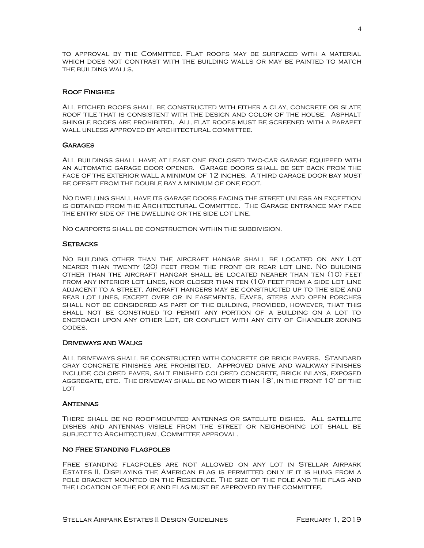to approval by the Committee. Flat roofs may be surfaced with a material which does not contrast with the building walls or may be painted to match the building walls.

# Roof Finishes

All pitched roofs shall be constructed with either a clay, concrete or slate roof tile that is consistent with the design and color of the house. Asphalt shingle roofs are prohibited. All flat roofs must be screened with a parapet wall unless approved by architectural committee.

## **GARAGES**

All buildings shall have at least one enclosed two-car garage equipped with an automatic garage door opener. Garage doors shall be set back from the face of the exterior wall a minimum of 12 inches. A third garage door bay must be offset from the double bay a minimum of one foot.

No dwelling shall have its garage doors facing the street unless an exception is obtained from the Architectural Committee. The Garage entrance may face the entry side of the dwelling or the side lot line.

No carports shall be construction within the subdivision.

#### **SETBACKS**

No building other than the aircraft hangar shall be located on any Lot nearer than twenty (20) feet from the front or rear lot line. No building other than the aircraft hangar shall be located nearer than ten (10) feet from any interior lot lines, nor closer than ten (10) feet from a side lot line adjacent to a street. Aircraft hangers may be constructed up to the side and rear lot lines, except over or in easements. Eaves, steps and open porches shall not be considered as part of the building, provided, however, that this shall not be construed to permit any portion of a building on a lot to encroach upon any other Lot, or conflict with any city of Chandler zoning codes.

## Driveways and Walks

All driveways shall be constructed with concrete or brick pavers. Standard gray concrete finishes are prohibited. Approved drive and walkway finishes include colored paver, salt finished colored concrete, brick inlays, exposed aggregate, etc. The driveway shall be no wider than 18', in the front 10' of the LOT

## **ANTENNAS**

There shall be no roof-mounted antennas or satellite dishes. All satellite dishes and antennas visible from the street or neighboring lot shall be subject to Architectural Committee approval.

## No Free Standing Flagpoles

Free standing flagpoles are not allowed on any lot in Stellar Airpark Estates II. Displaying the American flag is permitted only if it is hung from a pole bracket mounted on the Residence. The size of the pole and the flag and the location of the pole and flag must be approved by the committee.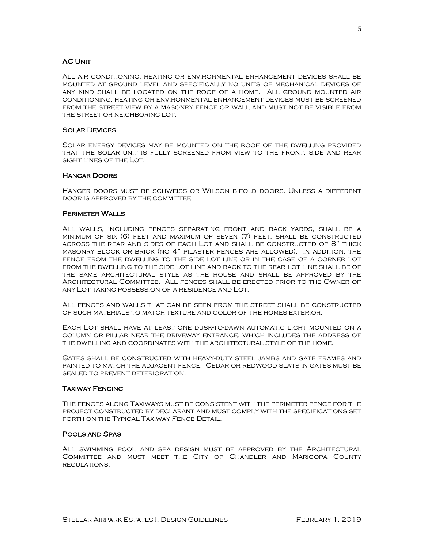## AC Unit

All air conditioning, heating or environmental enhancement devices shall be mounted at ground level and specifically no units of mechanical devices of any kind shall be located on the roof of a home. All ground mounted air conditioning, heating or environmental enhancement devices must be screened from the street view by a masonry fence or wall and must not be visible from the street or neighboring lot.

## Solar Devices

Solar energy devices may be mounted on the roof of the dwelling provided that the solar unit is fully screened from view to the front, side and rear sight lines of the Lot.

## Hangar Doors

Hanger doors must be schweiss or Wilson bifold doors. Unless a different door is approved by the committee.

## Perimeter Walls

All walls, including fences separating front and back yards, shall be a minimum of six (6) feet and maximum of seven (7) feet, shall be constructed across the rear and sides of each Lot and shall be constructed of 8" thick masonry block or brick (no 4" pilaster fences are allowed). In addition, the fence from the dwelling to the side lot line or in the case of a corner lot from the dwelling to the side lot line and back to the rear lot line shall be of the same architectural style as the house and shall be approved by the Architectural Committee. All fences shall be erected prior to the Owner of any Lot taking possession of a residence and Lot.

All fences and walls that can be seen from the street shall be constructed of such materials to match texture and color of the homes exterior.

Each Lot shall have at least one dusk-to-dawn automatic light mounted on a column or pillar near the driveway entrance, which includes the address of the dwelling and coordinates with the architectural style of the home.

Gates shall be constructed with heavy-duty steel jambs and gate frames and painted to match the adjacent fence. Cedar or redwood slats in gates must be sealed to prevent deterioration.

## Taxiway Fencing

The fences along Taxiways must be consistent with the perimeter fence for the project constructed by declarant and must comply with the specifications set forth on the Typical Taxiway Fence Detail.

## Pools and Spas

All swimming pool and spa design must be approved by the Architectural Committee and must meet the City of Chandler and Maricopa County regulations.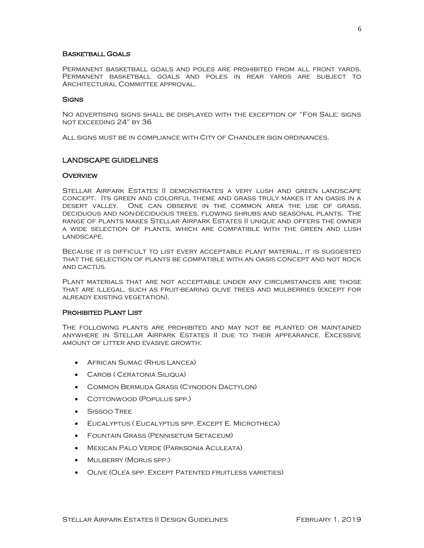## Basketball Goals

Permanent basketball goals and poles are prohibited from all front yards. Permanent basketball goals and poles in rear yards are subject to Architectural Committee approval.

#### **SIGNS**

No advertising signs shall be displayed with the exception of "For Sale: signs not exceeding 24" by 36

All signs must be in compliance with City of Chandler sign ordinances.

# LANDSCAPE GUIDELINES

#### **OVERVIEW**

Stellar Airpark Estates II demonstrates a very lush and green landscape concept. Its green and colorful theme and grass truly makes it an oasis in a desert valley. One can observe in the common area the use of grass, deciduous and non-deciduous trees, flowing shrubs and seasonal plants. The range of plants makes Stellar Airpark Estates II unique and offers the owner a wide selection of plants, which are compatible with the green and lush landscape.

Because it is difficult to list every acceptable plant material, it is suggested that the selection of plants be compatible with an oasis concept and not rock and cactus.

Plant materials that are not acceptable under any circumstances are those that are illegal, such as fruit-bearing olive trees and mulberries (except for already existing vegetation).

## Prohibited Plant List

The following plants are prohibited and may not be planted or maintained anywhere in Stellar Airpark Estates II due to their appearance. Excessive amount of litter and evasive growth:

- African Sumac (Rhus Lancea)
- Carob ( Ceratonia Siliqua)
- Common Bermuda Grass (Cynodon Dactylon)
- COTTONWOOD (POPULUS SPP.)
- Sissoo Tree
- Eucalyptus ( Eucalyptus spp. Except E. Microtheca)
- Fountain Grass (Pennisetum Setaceum)
- Mexican Palo Verde (Parksonia Aculeata)
- Mulberry (Morus spp.)
- Olive (Olea spp. Except Patented fruitless varieties)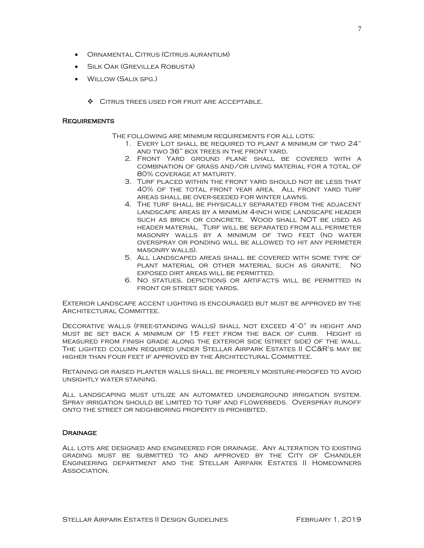- Ornamental Citrus (Citrus aurantium)
- Silk Oak (Grevillea Robusta)
- Willow (Salix spg.)
	- ❖ Citrus trees used for fruit are acceptable.

#### **REQUIREMENTS**

- The following are minimum requirements for all lots:
	- 1. Every Lot shall be required to plant a minimum of two 24" and two 36" box trees in the front yard.
	- 2. Front Yard ground plane shall be covered with a combination of grass and/or living material for a total of 80% coverage at maturity.
	- 3. Turf placed within the front yard should not be less that 40% of the total front year area. All front yard turf areas shall be over-seeded for winter lawns.
	- 4. The turf shall be physically separated from the adjacent landscape areas by a minimum 4-inch wide landscape header such as brick or concrete. Wood shall NOT be used as header material. Turf will be separated from all perimeter masonry walls by a minimum of two feet (no water overspray or ponding will be allowed to hit any perimeter masonry walls).
	- 5. All landscaped areas shall be covered with some type of plant material or other material such as granite. No exposed dirt areas will be permitted.
	- 6. No statues, depictions or artifacts will be permitted in front or street side yards.

Exterior landscape accent lighting is encouraged but must be approved by the Architectural Committee.

Decorative walls (free-standing walls) shall not exceed 4'-0" in height and must be set back a minimum of 15 feet from the back of curb. Height is measured from finish grade along the exterior side (street side) of the wall. The lighted column required under Stellar Airpark Estates II CC&R's may be higher than four feet if approved by the Architectural Committee.

Retaining or raised planter walls shall be properly moisture-proofed to avoid unsightly water staining.

All landscaping must utilize an automated underground irrigation system. Spray irrigation should be limited to turf and flowerbeds. Overspray runoff onto the street or neighboring property is prohibited.

#### **DRAINAGE**

All lots are designed and engineered for drainage. Any alteration to existing grading must be submitted to and approved by the City of Chandler Engineering department and the Stellar Airpark Estates II Homeowners ASSOCIATION.